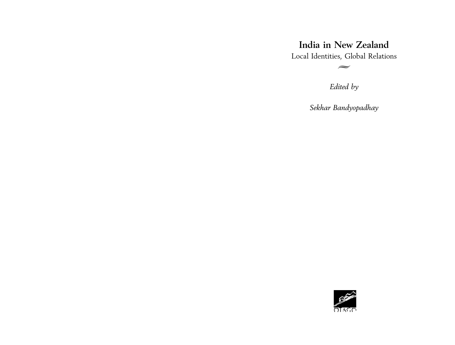# **India in New Zealand**

Local Identities, Global Relations  $\leftarrow$ 

*Edited by*

*Sekhar Bandyopadhay*

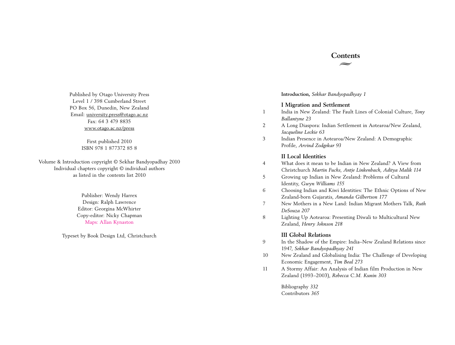# **Contents**  $\leftarrow$

Published by Otago University Press Level 1 / 398 Cumberland Street PO Box 56, Dunedin, New Zealand Email: university.press@otago.ac.nz Fax: 64 3 479 8835 www.otago.ac.nz/press

> First published 2010 ISBN 978 1 877372 85 8

Volume & Introduction copyright © Sekhar Bandyopadhay 2010 Individual chapters copyright © individual authors as listed in the contents list 2010

> Publisher: Wendy Harrex Design: Ralph Lawrence Editor: Georgina McWhirter Copy-editor: Nicky Chapman Maps: Allan Kynaston

Typeset by Book Design Ltd, Christchurch

**Introduction,** *Sekhar Bandyopadhyay 1*

### **I Migration and Settlement**

- 1 India in New Zealand: The Fault Lines of Colonial Culture, *Tony Ballantyne 23*
- 2 A Long Diaspora: Indian Settlement in Aotearoa/New Zealand, *Jacqueline Leckie 63*
- 3 Indian Presence in Aotearoa/New Zealand: A Demographic Profile, *Arvind Zodgekar 93*

# **II Local Identities**

- 4 What does it mean to be Indian in New Zealand? A View from Christchurch *Martin Fuchs, Antje Linkenbach, Aditya Malik 114*
- 5 Growing up Indian in New Zealand: Problems of Cultural Identity, *Gwyn Williams 155*
- 6 Choosing Indian and Kiwi Identities: The Ethnic Options of New Zealand-born Gujaratis, *Amanda Gilbertson 177*
- 7 New Mothers in a New Land: Indian Migrant Mothers Talk, *Ruth DeSouza 207*
- 8 Lighting Up Aotearoa: Presenting Diwali to Multicultural New Zealand, *Henry Johnson 218*

### **III Global Relations**

- 9 In the Shadow of the Empire: India–New Zealand Relations since 1947, *Sekhar Bandyopadhyay 241*
- 10 New Zealand and Globalising India: The Challenge of Developing Economic Engagement, *Tim Beal 273*
- 11 A Stormy Affair: An Analysis of Indian film Production in New Zealand (1993–2003), *Rebecca C.M. Kunin 303*

Bibliography *332* Contributors *365*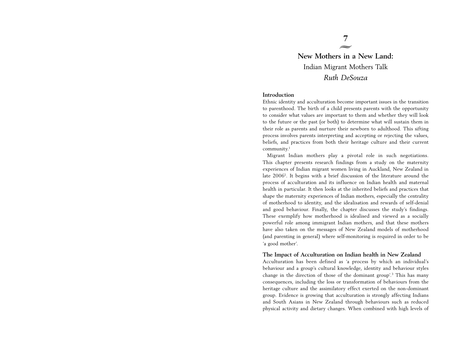# **New Mothers in a New Land:** Indian Migrant Mothers Talk *Ruth DeSouza*

7  $\leftarrow$ 

#### **Introduction**

Ethnic identity and acculturation become important issues in the transition to parenthood. The birth of a child presents parents with the opportunity to consider what values are important to them and whether they will look to the future or the past (or both) to determine what will sustain them in their role as parents and nurture their newborn to adulthood. This sifting process involves parents interpreting and accepting or rejecting the values, beliefs, and practices from both their heritage culture and their current community.1

Migrant Indian mothers play a pivotal role in such negotiations. This chapter presents research findings from a study on the maternity experiences of Indian migrant women living in Auckland, New Zealand in late 20062. It begins with a brief discussion of the literature around the process of acculturation and its influence on Indian health and maternal health in particular. It then looks at the inherited beliefs and practices that shape the maternity experiences of Indian mothers, especially the centrality of motherhood to identity, and the idealisation and rewards of self-denial and good behaviour. Finally, the chapter discusses the study's findings. These exemplify how motherhood is idealised and viewed as a socially powerful role among immigrant Indian mothers, and that these mothers have also taken on the messages of New Zealand models of motherhood (and parenting in general) where self-monitoring is required in order to be 'a good mother'.

#### **The Impact of Acculturation on Indian health in New Zealand**

Acculturation has been defined as 'a process by which an individual's behaviour and a group's cultural knowledge, identity and behaviour styles change in the direction of those of the dominant group'.3 This has many consequences, including the loss or transformation of behaviours from the heritage culture and the assimilatory effect exerted on the non-dominant group. Evidence is growing that acculturation is strongly affecting Indians and South Asians in New Zealand through behaviours such as reduced physical activity and dietary changes. When combined with high levels of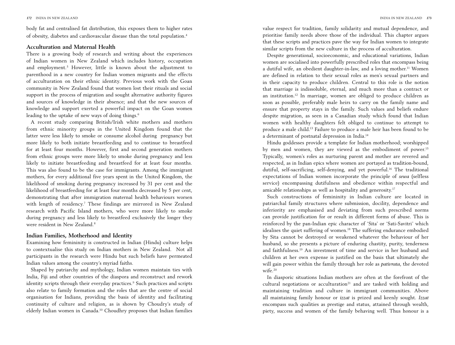body fat and centralised fat distribution, this exposes them to higher rates of obesity, diabetes and cardiovascular disease than the total population.4

### **Acculturation and Maternal Health**

There is a growing body of research and writing about the experiences of Indian women in New Zealand which includes history, occupation and employment.5 However, little is known about the adjustment to parenthood in a new country for Indian women migrants and the effects of acculturation on their ethnic identity. Previous work with the Goan community in New Zealand found that women lost their rituals and social support in the process of migration and sought alternative authority figures and sources of knowledge in their absence; and that the new sources of knowledge and support exerted a powerful impact on the Goan women leading to the uptake of new ways of doing things.<sup>6</sup>

A recent study comparing British/Irish white mothers and mothers from ethnic minority groups in the United Kingdom found that the latter were less likely to smoke or consume alcohol during pregnancy but more likely to both initiate breastfeeding and to continue to breastfeed for at least four months. However, first and second generation mothers from ethnic groups were more likely to smoke during pregnancy and less likely to initiate breastfeeding and breastfeed for at least four months. This was also found to be the case for immigrants. Among the immigrant mothers, for every additional five years spent in the United Kingdom, the likelihood of smoking during pregnancy increased by 31 per cent and the likelihood of breastfeeding for at least four months decreased by 5 per cent, demonstrating that after immigration maternal health behaviours worsen with length of residency.7 These findings are mirrored in New Zealand research with Pacific Island mothers, who were more likely to smoke during pregnancy and less likely to breastfeed exclusively the longer they were resident in New Zealand.8

## **Indian Families, Motherhood and Identity**

Examining how femininity is constructed in Indian (Hindu) culture helps to contextualise this study on Indian mothers in New Zealand. Not all participants in the research were Hindu but such beliefs have permeated Indian values among the country's myriad faiths.

Shaped by patriarchy and mythology, Indian women maintain ties with India, Fiji and other countries of the diaspora and reconstruct and rework identity scripts through their everyday practices.9 Such practices and scripts also relate to family formation and the roles that are the centre of social organisation for Indians, providing the basis of identity and facilitating continuity of culture and religion, as is shown by Choudry's study of elderly Indian women in Canada.10 Choudhry proposes that Indian families

value respect for tradition, family solidarity and mutual dependence, and prioritise family needs above those of the individual. This chapter argues that these scripts and practices pave the way for Indian women to integrate similar scripts from the new culture in the process of acculturation.

Despite generational, socioeconomic, and educational variations, Indian women are socialised into powerfully prescribed roles that encompass being a dutiful wife, an obedient daughter-in-law, and a loving mother.<sup>11</sup> Women are defined in relation to their sexual roles as men's sexual partners and in their capacity to produce children. Central to this role is the notion that marriage is indissoluble, eternal, and much more than a contract or an institution.12 In marriage, women are obliged to produce children as soon as possible, preferably male heirs to carry on the family name and ensure that property stays in the family. Such values and beliefs endure despite migration, as seen in a Canadian study which found that Indian women with healthy daughters felt obliged to continue to attempt to produce a male child.13 Failure to produce a male heir has been found to be a determinant of postnatal depression in India.14

Hindu goddesses provide a template for Indian motherhood; worshipped by men and women, they are viewed as the embodiment of power.<sup>15</sup> Typically, women's roles as nurturing parent and mother are revered and respected, as in Indian epics where women are portayed as tradition-bound, dutiful, self-sacrificing, self-denying, and yet powerful.<sup>16</sup> The traditional expectations of Indian women incorporate the principle of *sewa* (selfless service) encompassing dutifulness and obedience within respectful and amicable relationships as well as hospitality and generosity.17

Such constructions of femininity in Indian culture are located in patriarchal family structures where submission, docility, dependence and inferiority are emphasised and deviating from such prescribed norms can provide justification for or result in different forms of abuse. This is reinforced by the pan-Indian epic character of 'Sita' or 'Sati-Savitri' which idealises the quiet suffering of women.<sup>18</sup> The suffering endurance embodied by Sita cannot be destroyed or weakened whatever the behaviour of her husband, so she presents a picture of enduring chastity, purity, tenderness and faithfulness.19 An investment of time and service in her husband and children at her own expense is justified on the basis that ultimately she will gain power within the family through her role as *pativrata*, the devoted wife.20

In diasporic situations Indian mothers are often at the forefront of the cultural negotiations or acculturation<sup>21</sup> and are tasked with holding and maintaining tradition and culture in immigrant communities. Above all maintaining family honour or *izzat* is prized and keenly sought. *Izzat* encompass such qualities as prestige and status, attained through wealth, piety, success and women of the family behaving well. Thus honour is a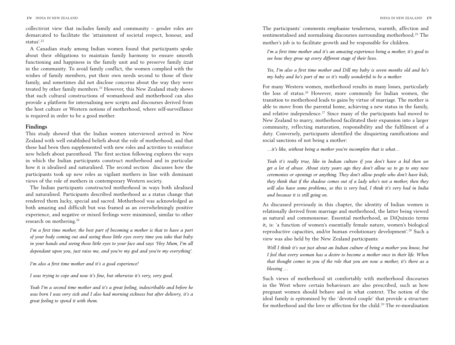collectivist view that includes family and community – gender roles are demarcated to facilitate the 'attainment of societal respect, honour, and status'.22

A Canadian study among Indian women found that participants spoke about their obligations to maintain family harmony to ensure smooth functioning and happiness in the family unit and to preserve family *izzat* in the community. To avoid family conflict, the women complied with the wishes of family members, put their own needs second to those of their family, and sometimes did not disclose concerns about the way they were treated by other family members.<sup>23</sup> However, this New Zealand study shows that such cultural constructions of womanhood and motherhood can also provide a platform for internalising new scripts and discourses derived from the host culture or Western notions of motherhood, where self-surveillance is required in order to be a good mother.

#### **Findings**

This study showed that the Indian women interviewed arrived in New Zealand with well established beliefs about the role of motherhood; and that these had been then supplemented with new roles and activities to reinforce new beliefs about parenthood. The first section following explores the ways in which the Indian participants construct motherhood and in particular how it is idealised and naturalised. The second section discusses how the participants took up new roles as vigilant mothers in line with dominant views of the role of mothers in contemporary Western society.

The Indian participants constructed motherhood in ways both idealised and naturalised. Participants described motherhood as a status change that rendered them lucky, special and sacred. Motherhood was acknowledged as both amazing and difficult but was framed as an overwhelmingly positive experience, and negative or mixed feelings were minimised, similar to other research on mothering.24

*I'm a first time mother, the best part of becoming a mother is that to have a part of your body coming out and seeing those little eyes every time you take that baby in your hands and seeing those little eyes to your face and says 'Hey Mum, I'm all dependant upon you, just raise me, and you're my god and you're my everything'.*

*I'm also a first time mother and it's a good experience!* 

*I was trying to cope and now it's fine, but otherwise it's very, very good.*

*Yeah I'm a second time mother and it's a great feeling, indescribable and before he was born I was very sick and I also had morning sickness but after delivery, it's a great feeling to spend it with them.*

The participants' comments emphasise tenderness, warmth, affection and sentimentalised and normalising discourses surrounding motherhood.25 The mother's job is to facilitate growth and be responsible for children.

*I'm a first time mother and it's an amazing experience being a mother, it's good to see how they grow up every different stage of their lives.*

*Yes, I'm also a first time mother and Dill my baby is seven months old and he's my baby and he's part of me so it's really wonderful to be a mother.*

For many Western women, motherhood results in many losses, particularly the loss of status.26 However, more commonly for Indian women, the transition to motherhood leads to gains by virtue of marriage. The mother is able to move from the parental home, achieving a new status in the family, and relative independence.<sup>27</sup> Since many of the participants had moved to New Zealand to marry, motherhood facilitated their expansion into a larger community, reflecting maturation, responsibility and the fulfilment of a duty. Conversely, participants identified the disquieting ramifications and social sanctions of not being a mother:

*…it's like, without being a mother you're incomplete that is what…*

*Yeah it's really true, like in Indian culture if you don't have a kid then we get a lot of abuse. About sixty years ago they don't allow us to go to any new ceremonies or openings or anything. They don't allow people who don't have kids, they think that if the shadow comes out of a lady who's not a mother, then they will also have some problems, so this is very bad, I think it's very bad in India and because it is still going on.*

As discussed previously in this chapter, the identity of Indian women is relationally derived from marriage and motherhood, the latter being viewed as natural and commonsense. Essential motherhood, as DiQuinzio terms it, is: 'a function of women's essentially female nature, women's biological reproductive capacities, and/or human evolutionary development'.28 Such a view was also held by the New Zealand participants:

*Well I think it's not just about an Indian culture of being a mother you know, but I feel that every woman has a desire to become a mother once in their life. When that thought comes in you of the role that you are now a mother, it's there as a blessing …*

Such views of motherhood sit comfortably with motherhood discourses in the West where certain behaviours are also prescribed, such as how pregnant women should behave and in what context. The notion of the ideal family is epitomised by the 'devoted couple' that provide a structure for motherhood and the love or affection for the child.29 The re-moralisation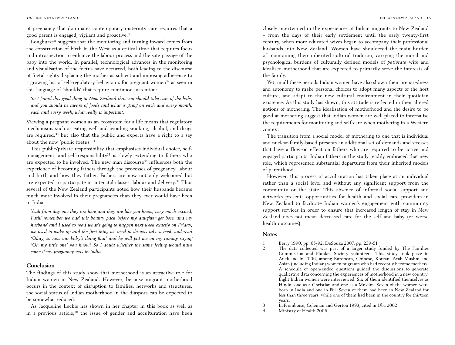of pregnancy that dominates contemporary maternity care requires that a good parent is engaged, vigilant and proactive.30

Longhurst<sup>31</sup> suggests that the monitoring and turning inward comes from the construction of birth in the West as a critical time that requires focus and introspection to enhance the labour process and the safe passage of the baby into the world. In parallel, technological advances in the monitoring and visualisation of the foetus have occurred, both leading to the discourse of foetal rights displacing the mother as subject and imposing adherence to a growing list of self-regulatory behaviours for pregnant women<sup>32</sup> as seen in this language of 'shoulds' that require continuous attention:

*So I found this good thing in New Zealand that you should take care of the baby and you should be aware of foods and what is going on each and every month, each and every week, what really is important.*

Viewing a pregnant women as an ecosystem for a life means that regulatory mechanisms such as eating well and avoiding smoking, alcohol, and drugs are required,<sup>33</sup> but also that the public and experts have a right to a sav about the now 'public foetus'.34

This public/private responsibility that emphasises individual choice, selfmanagement, and self-responsibility<sup>35</sup> is slowly extending to fathers who are expected to be involved. The new man discourse<sup>36</sup> influences both the experience of becoming fathers through the processes of pregnancy, labour and birth and how they father. Fathers are now not only welcomed but are expected to participate in antenatal classes, labour and delivery.37 Thus several of the New Zealand participants noted how their husbands became much more involved in their pregnancies than they ever would have been in India:

*Yeah from day one they are here and they are like you know, very much excited, I still remember we had this bounty pack before my daughter got born and my husband and I used to read what's going to happen next week exactly on Friday, we used to wake up and the first thing we used to do was take a book and read 'Okay, so now our baby's doing that' and he will pat me on my tummy saying 'Oh my little one' you know? So I doubt whether the same feeling would have come if my pregnancy was in India.* 

### **Conclusion**

The findings of this study show that motherhood is an attractive role for Indian women in New Zealand. However, because migrant motherhood occurs in the context of disruption to families, networks and structures, the social status of Indian motherhood in the diaspora can be expected to be somewhat reduced.

As Jacqueline Leckie has shown in her chapter in this book as well as in a previous article,<sup>38</sup> the issue of gender and acculturation have been closely intertwined in the experiences of Indian migrants to New Zealand – from the days of their early settlement until the early twenty-first century, when more educated wives began to accompany their professional husbands into New Zealand. Women have shouldered the main burden of maintaining their inherited cultural tradition, carrying the moral and psychological burdens of culturally defined models of *pativrata* wife and idealised motherhood that are expected to primarily serve the interests of the family.

Yet, in all these periods Indian women have also shown their preparedness and autonomy to make personal choices to adopt many aspects of the host culture, and adapt to the new cultural environment in their quotidian existence. As this study has shown, this attitude is reflected in their altered notions of mothering. The idealisation of motherhood and the desire to be good at mothering suggest that Indian women are well placed to internalise the requirements for monitoring and self-care when mothering in a Western context.

The transition from a social model of mothering to one that is individual and nuclear-family-based presents an additional set of demands and stresses that have a flow-on effect on fathers who are required to be active and engaged participants. Indian fathers in the study readily embraced that new role, which represented substantial departures from their inherited models of parenthood.

However, this process of acculturation has taken place at an individual rather than a social level and without any significant support from the community or the state. This absence of informal social support and networks presents opportunities for health and social care providers in New Zealand to facilitate Indian women's engagement with community support services in order to ensure that increased length of stay in New Zealand does not mean decreased care for the self and baby (or worse health outcomes).

#### **Notes**

- 1 Berry 1990, pp. 65-92; DeSouza 2007, pp. 239-51
- 2 The data collected was part of a larger study funded by The Families Commission and Plunket Society volunteers. This study took place in Auckland in 2006, among European, Chinese, Korean, Arab Muslim and Asian (including Indian) women migrants who had recently become mothers. A schedule of open-ended questions guided the discussions to generate qualitative data concerning the experiences of motherhood in a new country. Eight Indian women were interviewed. Six of them identified themselves as Hindu, one as a Christian and one as a Muslim. Seven of the women were born in India and one in Fiji. Seven of them had been in New Zealand for less than three years, while one of them had been in the country for thirteen years.
- 3 LaFromboise, Coleman and Gerton 1993, cited in Uba 2002
- 4 Ministry of Health 2006.